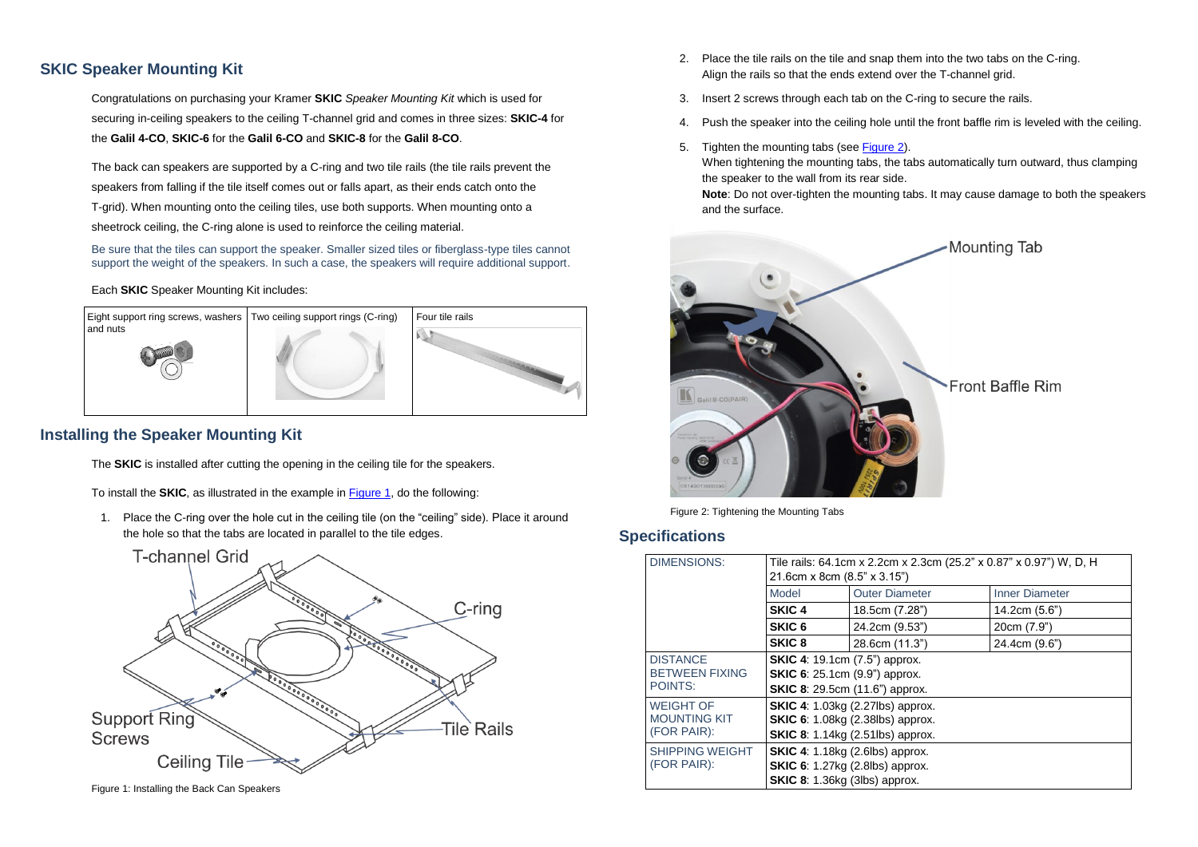## **SKIC Speaker Mounting Kit**

Congratulations on purchasing your Kramer **SKIC** *Speaker Mounting Kit* which is used for securing in-ceiling speakers to the ceiling T-channel grid and comes in three sizes: **SKIC-4** for the **Galil 4-CO**, **SKIC-6** for the **Galil 6-CO** and **SKIC-8** for the **Galil 8-CO**.

The back can speakers are supported by a C-ring and two tile rails (the tile rails prevent the speakers from falling if the tile itself comes out or falls apart, as their ends catch onto the T-grid). When mounting onto the ceiling tiles, use both supports. When mounting onto a sheetrock ceiling, the C-ring alone is used to reinforce the ceiling material.

Be sure that the tiles can support the speaker. Smaller sized tiles or fiberglass-type tiles cannot support the weight of the speakers. In such a case, the speakers will require additional support.

#### Each **SKIC** Speaker Mounting Kit includes:



## **Installing the Speaker Mounting Kit**

The **SKIC** is installed after cutting the opening in the ceiling tile for the speakers.

To install the **SKIC**, as illustrated in the example i[n Figure 1,](#page-0-0) do the following:

1. Place the C-ring over the hole cut in the ceiling tile (on the "ceiling" side). Place it around the hole so that the tabs are located in parallel to the tile edges.



<span id="page-0-0"></span>Figure 1: Installing the Back Can Speakers

- 2. Place the tile rails on the tile and snap them into the two tabs on the C-ring. Align the rails so that the ends extend over the T-channel grid.
- 3. Insert 2 screws through each tab on the C-ring to secure the rails.
- 4. Push the speaker into the ceiling hole until the front baffle rim is leveled with the ceiling.
- 5. Tighten the mounting tabs (see [Figure 2\)](#page-0-1).

When tightening the mounting tabs, the tabs automatically turn outward, thus clamping the speaker to the wall from its rear side.

**Note**: Do not over-tighten the mounting tabs. It may cause damage to both the speakers and the surface.



Figure 2: Tightening the Mounting Tabs

#### <span id="page-0-1"></span>**Specifications**

| <b>DIMENSIONS:</b>                                     | Tile rails: 64.1cm x 2.2cm x 2.3cm (25.2" x 0.87" x 0.97") W, D, H<br>21.6cm x 8cm (8.5" x 3.15")                             |                       |                       |
|--------------------------------------------------------|-------------------------------------------------------------------------------------------------------------------------------|-----------------------|-----------------------|
|                                                        | Model                                                                                                                         | <b>Outer Diameter</b> | <b>Inner Diameter</b> |
|                                                        | SKIC <sub>4</sub>                                                                                                             | 18.5cm (7.28")        | 14.2cm (5.6")         |
|                                                        | SKIC <sub>6</sub>                                                                                                             | 24.2cm (9.53")        | 20cm (7.9")           |
|                                                        | SKIC <sub>8</sub>                                                                                                             | 28.6cm (11.3")        | 24.4cm (9.6")         |
| <b>DISTANCE</b><br><b>BETWEEN FIXING</b><br>POINTS:    | <b>SKIC 4:</b> 19.1cm (7.5") approx.<br><b>SKIC 6:</b> 25.1cm (9.9") approx.<br><b>SKIC 8:</b> 29.5cm (11.6") approx.         |                       |                       |
| <b>WEIGHT OF</b><br><b>MOUNTING KIT</b><br>(FOR PAIR): | <b>SKIC 4:</b> 1.03kg (2.27lbs) approx.<br><b>SKIC 6:</b> 1.08kg (2.38lbs) approx.<br><b>SKIC 8:</b> 1.14kg (2.51lbs) approx. |                       |                       |
| <b>SHIPPING WEIGHT</b><br>(FOR PAIR):                  | <b>SKIC 4:</b> 1.18kg (2.6lbs) approx.<br><b>SKIC 6:</b> 1.27kg (2.8lbs) approx.<br><b>SKIC 8:</b> 1.36kg (3lbs) approx.      |                       |                       |